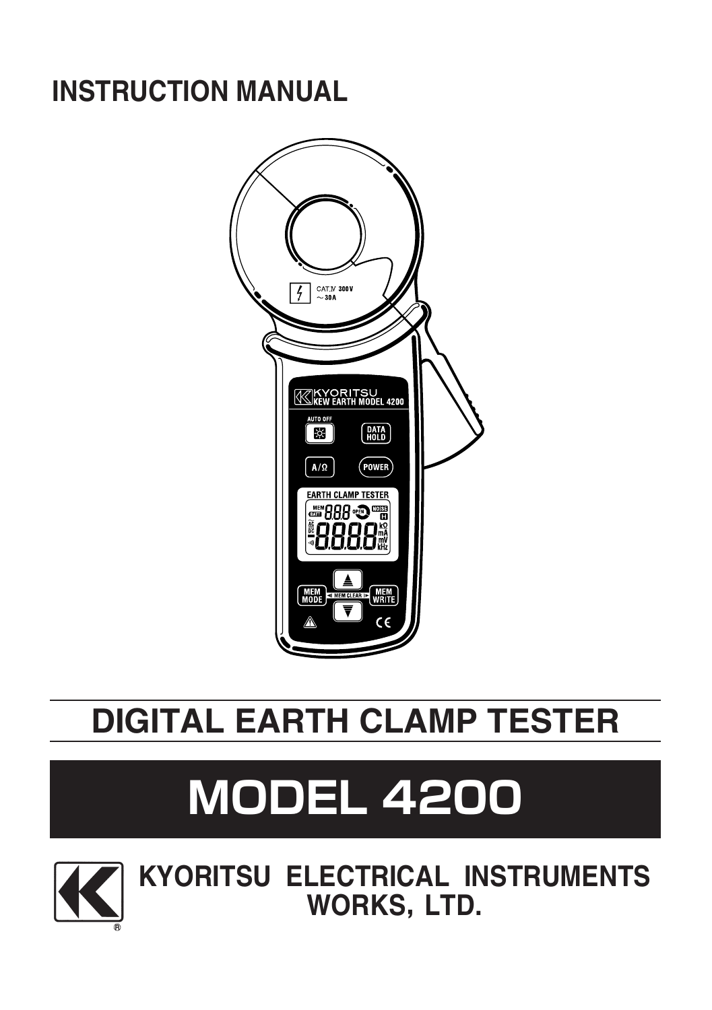# INSTRUCTION MANUAL



# DIGITAL EARTH CLAMP TESTER

# **MODEL 4200**



KYORITSU ELECTRICAL INSTRUMENTS WORKS, LTD.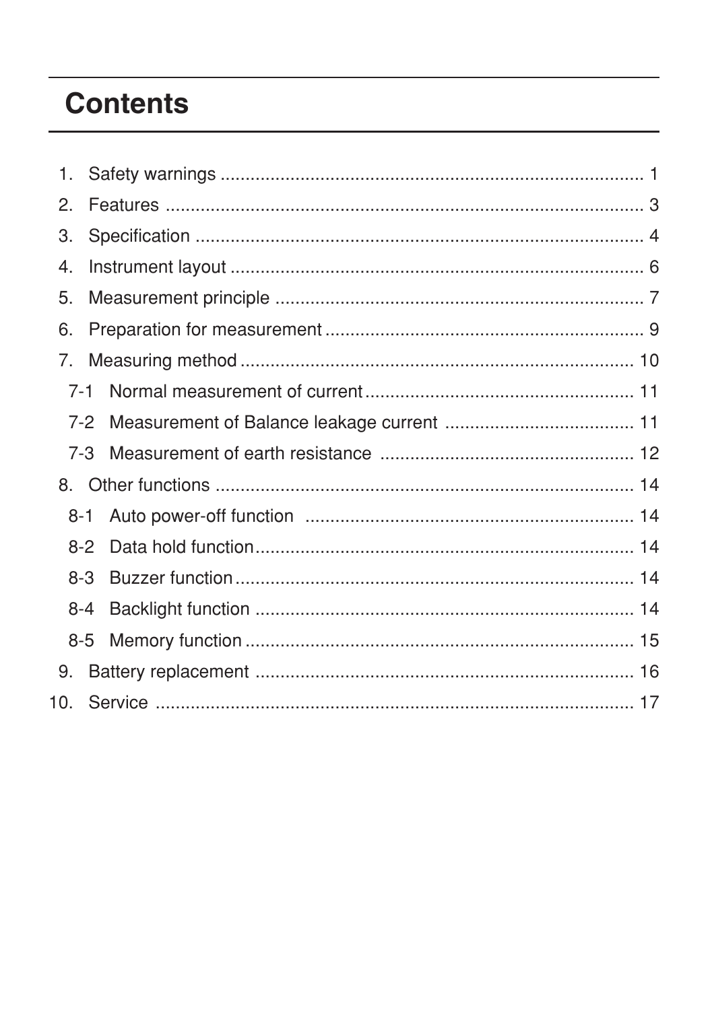# **Contents**

| 1.      |  |
|---------|--|
| 2.      |  |
| 3.      |  |
| 4.      |  |
| 5.      |  |
| 6.      |  |
| 7.      |  |
| 7-1     |  |
| $7-2$   |  |
| $7 - 3$ |  |
|         |  |
| $8 - 1$ |  |
| $8-2$   |  |
| $8-3$   |  |
| 8-4     |  |
| $8-5$   |  |
| 9.      |  |
|         |  |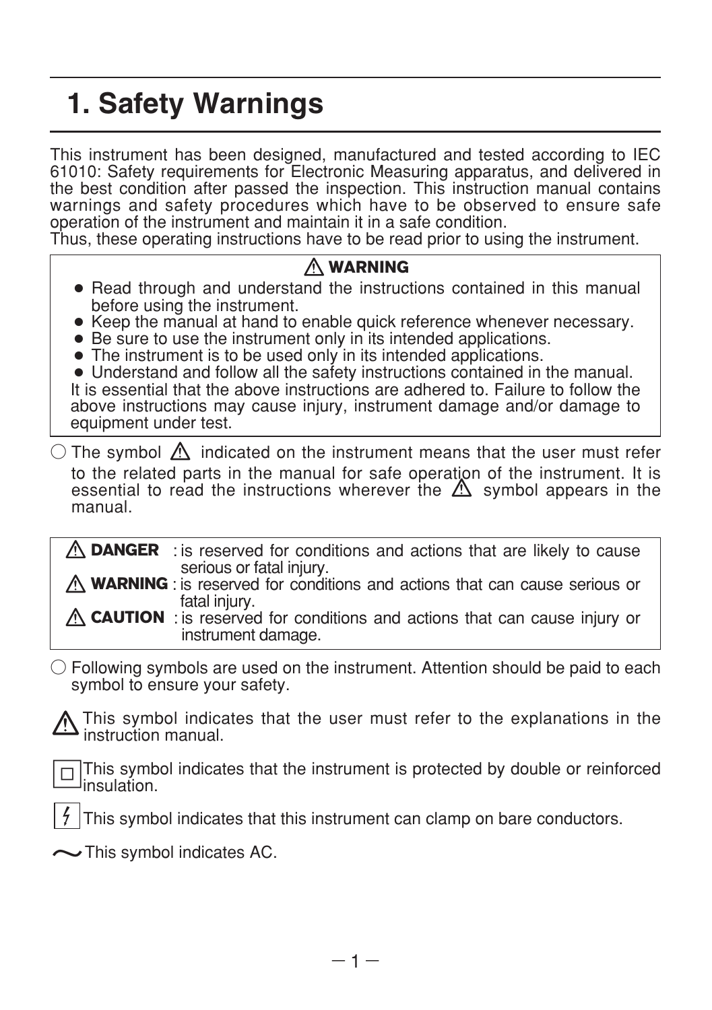# 1. Safety Warnings

This instrument has been designed, manufactured and tested according to IEC 61010: Safety requirements for Electronic Measuring apparatus, and delivered in the best condition after passed the inspection. This instruction manual contains warnings and safety procedures which have to be observed to ensure safe operation of the instrument and maintain it in a safe condition.

Thus, these operating instructions have to be read prior to using the instrument.

#### **WARNING**

- Read through and understand the instructions contained in this manual before using the instrument.
- Keep the manual at hand to enable quick reference whenever necessary.
- Be sure to use the instrument only in its intended applications.
- The instrument is to be used only in its intended applications.

• Understand and follow all the safety instructions contained in the manual. It is essential that the above instructions are adhered to. Failure to follow the above instructions may cause injury, instrument damage and/or damage to equipment under test.

 $\circlearrowright$  The symbol  $\Lambda$  indicated on the instrument means that the user must refer to the related parts in the manual for safe operation of the instrument. It is essential to read the instructions wherever the  $\Delta$  symbol appears in the manual.

**A DANGER** : is reserved for conditions and actions that are likely to cause serious or fatal injury. **WARNING** : is reserved for conditions and actions that can cause serious or fatal injury.

**CAUTION** : is reserved for conditions and actions that can cause injury or instrument damage.

 $\circlearrowright$  Following symbols are used on the instrument. Attention should be paid to each symbol to ensure your safety.

This symbol indicates that the user must refer to the explanations in the instruction manual.

FThis symbol indicates that the instrument is protected by double or reinforced insulation.

This symbol indicates that this instrument can clamp on bare conductors.

 $\sim$  This symbol indicates AC.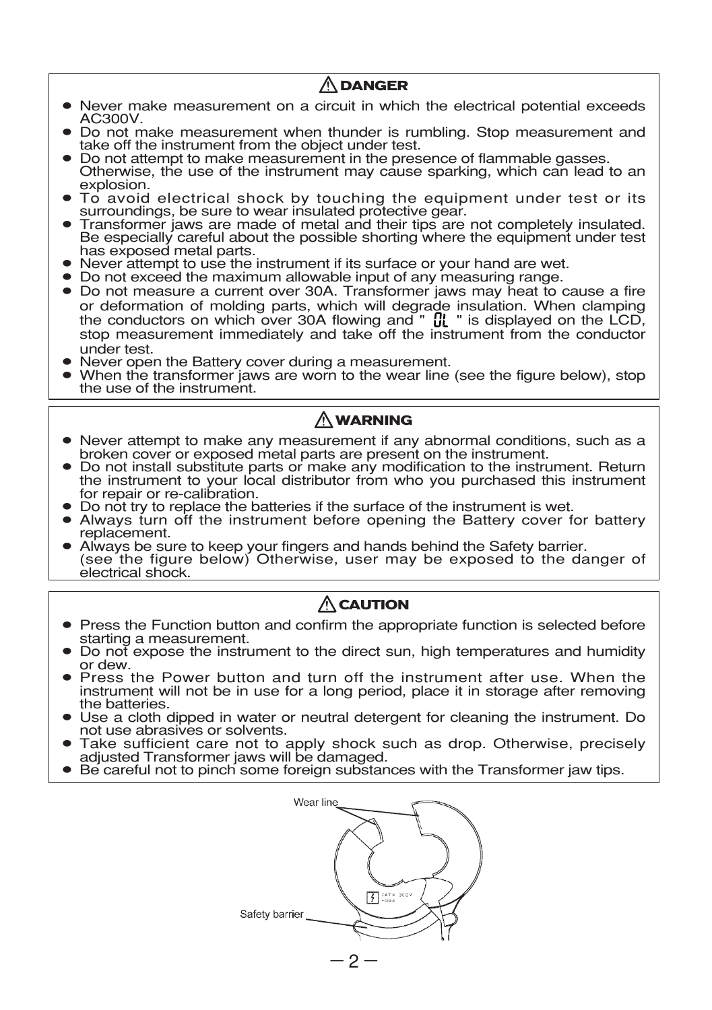#### **DANGER**

- Never make measurement on a circuit in which the electrical potential exceeds AC300V.
- Do not make measurement when thunder is rumbling. Stop measurement and take off the instrument from the object under test.
- Do not attempt to make measurement in the presence of flammable gasses. Otherwise, the use of the instrument may cause sparking, which can lead to an explosion.
- $\bullet$  To avoid electrical shock by touching the equipment under test or its surroundings, be sure to wear insulated protective gear.
- Transformer jaws are made of metal and their tips are not completely insulated. Be especially careful about the possible shorting where the equipment under test has exposed metal parts.
- Never attempt to use the instrument if its surface or your hand are wet.<br>• Do not exceed the maximum allowable input of any measuring range.
- 
- Do not measure a current over 30A. Transformer jaws may heat to cause a fire or deformation of molding parts, which will degrade insulation. When clamping the conductors on which over 30A flowing and "  $[]'$  " is displayed on the LCD, stop measurement immediately and take off the instrument from the conductor
- 
- Never open the Battery cover during a measurement.<br>
When the transformer jaws are worn to the wear line (see the figure below), stop the use of the instrument.

#### **WARNING**

- Never attempt to make any measurement if any abnormal conditions, such as a broken cover or exposed metal parts are present on the instrument.
- Do not install substitute parts or make any modification to the instrument. Return the instrument to your local distributor from who you purchased this instrument for repair or re-calibration.
- 
- Do not try to replace the batteries if the surface of the instrument is wet.<br>■ Always turn off the instrument before opening the Battery cover for battery replacement.
- Always be sure to keep your fingers and hands behind the Safety barrier. (see the figure below) Otherwise, user may be exposed to the danger of electrical shock.

#### **CAUTION**

- Press the Function button and confirm the appropriate function is selected before starting a measurement.
- Do not expose the instrument to the direct sun, high temperatures and humidity or dew.
- Press the Power button and turn off the instrument after use. When the instrument will not be in use for a long period, place it in storage after removing
- Use a cloth dipped in water or neutral detergent for cleaning the instrument. Do<br>not use abrasives or solvents.
- Take sufficient care not to apply shock such as drop. Otherwise, precisely adiusted Transformer jaws will be damaged.
- $\bullet$  Be careful not to pinch some foreign substances with the Transformer jaw tips.

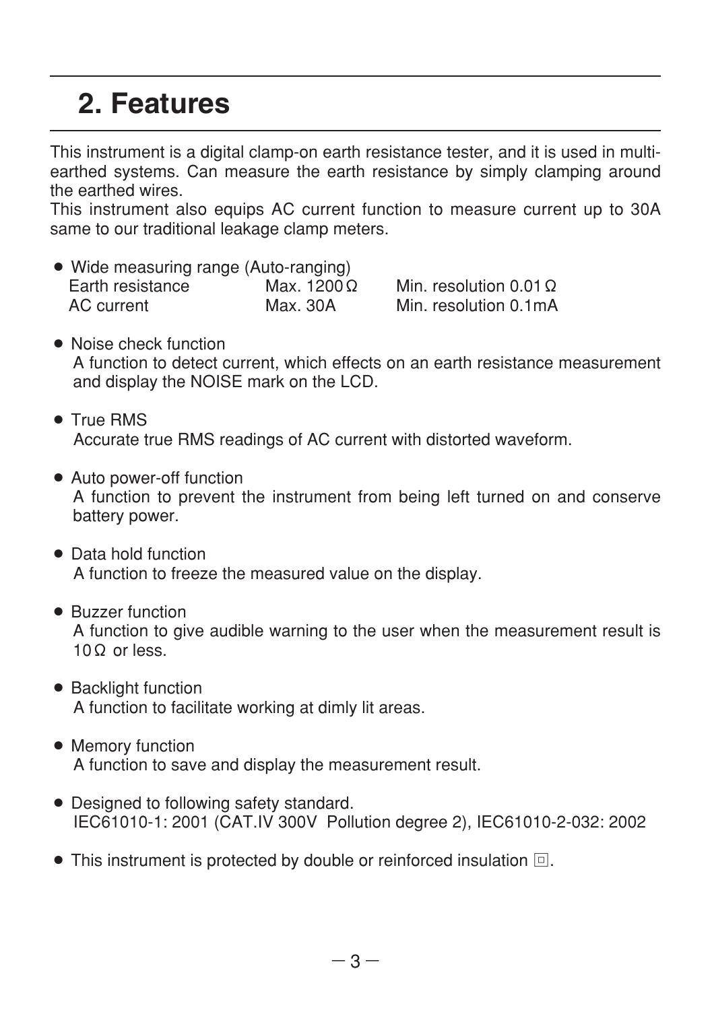### 2. Features

This instrument is a digital clamp-on earth resistance tester, and it is used in multiearthed systems. Can measure the earth resistance by simply clamping around the earthed wires.

This instrument also equips AC current function to measure current up to 30A same to our traditional leakage clamp meters.

• Wide measuring range (Auto-ranging)<br>Earth resistance Max. 1200  $\Omega$ Earth resistance Max. 1200Ω Min. resolution 0.01Ω

Min. resolution 0.1mA

- Noise check function A function to detect current, which effects on an earth resistance measurement and display the NOISE mark on the LCD.
- True RMS Accurate true RMS readings of AC current with distorted waveform.
- Auto power-off function A function to prevent the instrument from being left turned on and conserve battery power.
- Data hold function A function to freeze the measured value on the display.
- Buzzer function A function to give audible warning to the user when the measurement result is 10Ω or less.
- Backlight function A function to facilitate working at dimly lit areas.
- Memory function A function to save and display the measurement result.
- Designed to following safety standard. IEC61010-1: 2001 (CAT.IV 300V Pollution degree 2), IEC61010-2-032: 2002
- $\bullet$  This instrument is protected by double or reinforced insulation  $\Box$ .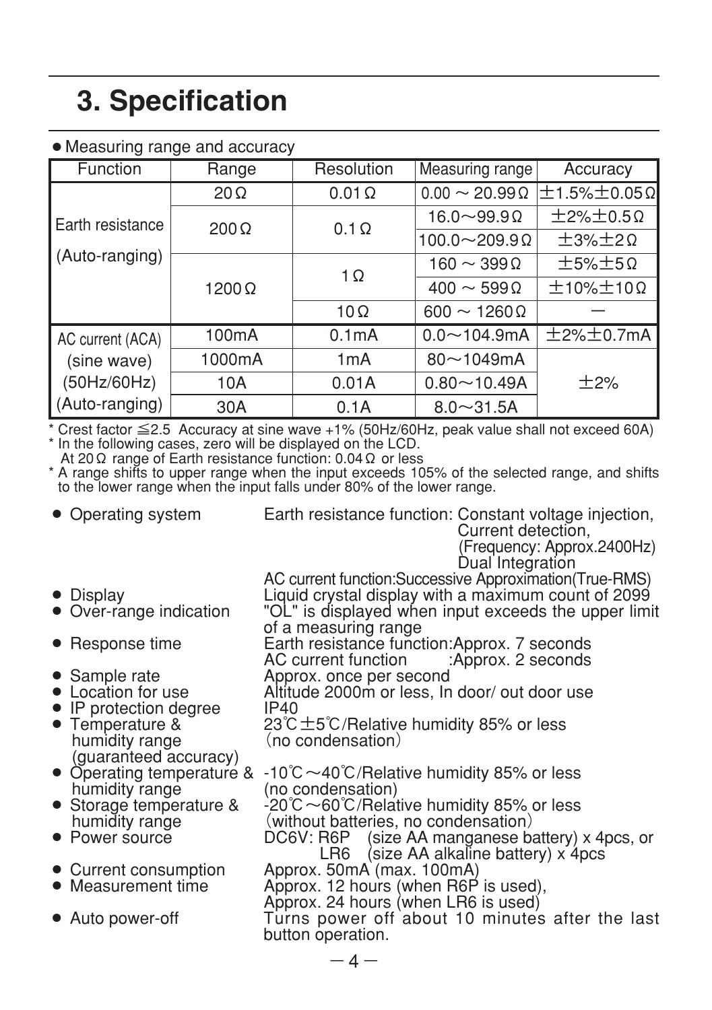# 3. Specification

#### • Measuring range and accuracy

| Function         | Range        | Resolution       | Measuring range            | Accuracy                  |  |
|------------------|--------------|------------------|----------------------------|---------------------------|--|
|                  | $20\Omega$   | $0.01\Omega$     | $0.00 \sim 20.99 \Omega$   | $±1.5\%±0.05$ Ω           |  |
| Earth resistance | $200\Omega$  | $0.1\Omega$      | $16.0 \sim 99.9 \Omega$    | $\pm 2\% \pm 0.5\Omega$   |  |
|                  |              |                  | $100.0\sim$ 209.9 $\Omega$ | $\pm 3\% \pm 2\Omega$     |  |
| (Auto-ranging)   |              | $1 \Omega$       | $160 \sim 399 \Omega$      | $\pm$ 5% $\pm$ 5 $\Omega$ |  |
|                  | $1200\Omega$ |                  | $400 \sim 599 \Omega$      | $±10\%±10\Omega$          |  |
|                  |              | 10 $\Omega$      | 600 $\sim$ 1260 $\Omega$   |                           |  |
| AC current (ACA) | 100mA        | 0.1mA            | $0.0 \sim 104.9$ mA        | ±2%±0.7mA                 |  |
| (sine wave)      | 1000mA       | 1 <sub>m</sub> A | 80 $\sim$ 1049mA           |                           |  |
| (50Hz/60Hz)      | 10A          | 0.01A            | $0.80 - 10.49A$            | $\pm$ 2%                  |  |
| (Auto-ranging)   | 30A          | 0.1A             | $8.0 \sim 31.5$ A          |                           |  |

\* Crest factor ≦2.5 Accuracy at sine wave +1% (50Hz/60Hz, peak value shall not exceed 60A) \* In the following cases, zero will be displayed on the LCD.

At 20Ω range of Earth resistance function: 0.04Ω or less

\* A range shifts to upper range when the input exceeds 105% of the selected range, and shifts to the lower range when the input falls under 80% of the lower range.

• Operating system Earth resistance function: Constant voltage injection,

Current detection,

(Frequency: Approx.2400Hz) Dual Integration

- 
- 
- 
- 
- 
- IP protection degree<br>• Temperature &
- (guaranteed accuracy)
- 
- 
- 
- 
- 
- 

AC current function:Successive Approximation(True-RMS) • Display **Liquid crystal display with a maximum count of 2099**<br>• Over-range indication **CL** is displayed when input exceeds the upper lim "OL" is displayed when input exceeds the upper limit of a measuring range

• Response time **Earth resistance function:Approx. 7 seconds**<br>AC current function : Approx. 2 seconds

● Sample rate Approx. once per second<br>● Location for use Altitude 2000m or less. In Altitude 2000m or less, In door/ out door use<br>IP40

Temperature & 23℃±5℃/Relative humidity 85% or less<br>humidity range (no condensation)  $(no$  condensation)

• Operating temperature & -10℃~40℃/Relative humidity 85% or less<br>humidity range (no condensation) humidity range (no condensation)<br>Storage temperature  $& -20^{\circ}\text{C} \sim 60^{\circ}\text{C/Relat}$ Storage temperature & -20℃~60℃/Relative humidity 85% or less<br>humidity range (without batteries, no condensation) humidity range (without batteries, no condensation)<br>Power source **DOGV: R6P** (size AA manganese b

R6P (size AA manganese battery) x 4pcs, or<br>LR6 (size AA alkaline battery) x 4pcs  $\textsf{(size AA}$  alkaline battery) x 4pcs

● Current consumption Approx. 50mA (max. 100mA)<br>● Measurement time Approx. 12 hours (when R6P)

Approx. 12 hours (when R6P is used), Approx. 24 hours (when LR6 is used)

• Auto power-off Turns power off about 10 minutes after the last button operation.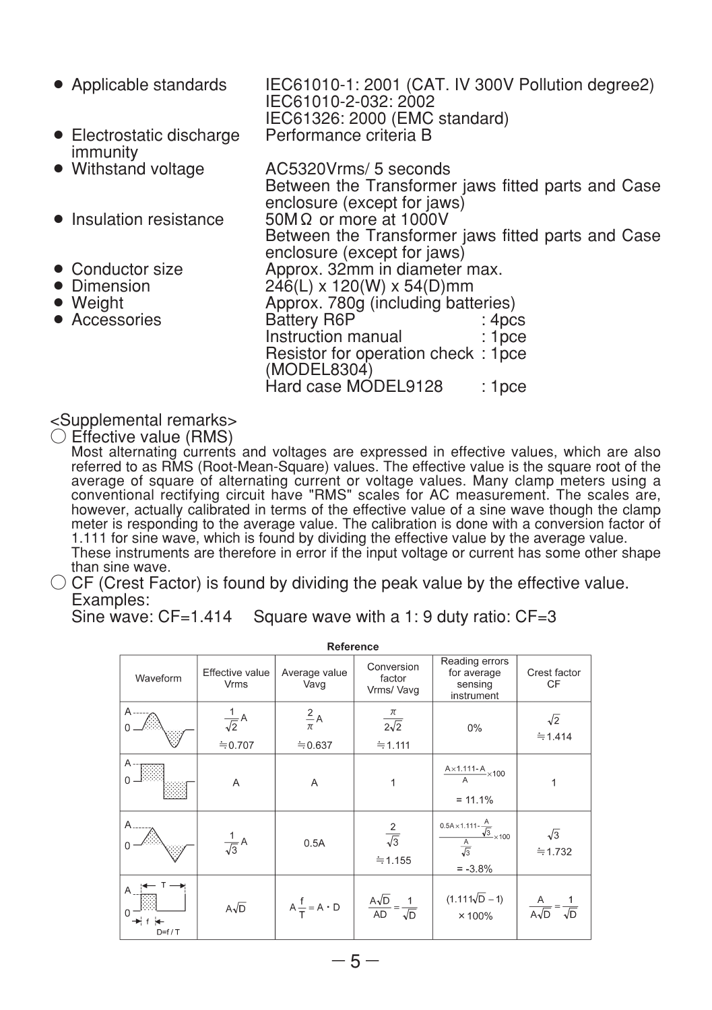- 
- $\bullet$  Electrostatic discharge immunity<br>• Withstand voltage
- 
- 
- 
- 
- 
- 

• Applicable standards IEC61010-1: 2001 (CAT. IV 300V Pollution degree2) IEC61010-2-032: 2002 IEC61326: 2000 (EMC standard)<br>Performance criteria B

AC5320Vrms/ 5 seconds Between the Transformer jaws fitted parts and Case enclosure (except for jaws)  $\bullet$  Insulation resistance 50MΩ or more at 1000V Between the Transformer jaws fitted parts and Case enclosure (except for jaws) • Conductor size  $\overline{P}_{246(1)} \times 120(0) \times 54(0)$  mension ● Dimension 246(L) x 120(W) x 54(D)mm<br>● Weight Approx. 780g (including batte • Weight **Approx. 780g** (including batteries)<br>• Accessories **Battery R6P** (1905) ¡ Accessories Battery R6P : 4pcs Instruction manual Resistor for operation check : 1pce (MODEL8304) Hard case MODEL9128 : 1pce

#### <Supplemental remarks>

○ Effective value (RMS)

Most alternating currents and voltages are expressed in effective values, which are also referred to as RMS (Root-Mean-Square) values. The effective value is the square root of the average of square of alternating current or voltage values. Many clamp meters using a conventional rectifying circuit have "RMS" scales for AC measurement. The scales are, however, actually calibrated in terms of the effective value of a sine wave though the clamp meter is responding to the average value. The calibration is done with a conversion factor of 1.111 for sine wave, which is found by dividing the effective value by the average value. These instruments are therefore in error if the input voltage or current has some other shape than sine wave.

### $\circlearrowright$  CF (Crest Factor) is found by dividing the peak value by the effective value.

Examples:<br>Sine wave: CF=1 414 Square wave with a 1: 9 duty ratio:  $CF=3$ .

| Reference |                                           |                               |                                             |                                                                                              |                         |
|-----------|-------------------------------------------|-------------------------------|---------------------------------------------|----------------------------------------------------------------------------------------------|-------------------------|
| Waveform  | Effective value<br><b>Vrms</b>            | Average value<br>Vavg         | Conversion<br>factor<br>Vrms/ Vavg          | Reading errors<br>for average<br>sensing<br>instrument                                       | Crest factor<br>CF      |
|           | $\frac{1}{\sqrt{2}}$ A<br>$\approx 0.707$ | $\frac{2}{\pi}A$<br>$= 0.637$ | $rac{\pi}{2\sqrt{2}}$<br>$= 1.111$          | $0\%$                                                                                        | $\sqrt{2}$<br>$= 1.414$ |
|           | A                                         | A                             |                                             | $\underbrace{\mathsf{A}\times\mathsf{1.111\text{-}A}}_{\times\mathsf{100}}$<br>$= 11.1%$     | 1                       |
|           | $\frac{1}{\sqrt{3}}$ A                    | 0.5A                          | $rac{2}{\sqrt{3}}$<br>$= 1.155$             | $0.5A \times 1.111 \cdot \frac{A}{\sqrt{3}} \times 100$<br>$\frac{A}{\sqrt{3}}$<br>$= -3.8%$ | $\sqrt{3}$<br>$= 1.732$ |
| $D=f/T$   | $A\sqrt{D}$                               | $A\frac{f}{T} = A \cdot D$    | $\frac{A\sqrt{D}}{AD} = \frac{1}{\sqrt{D}}$ | $(1.111\sqrt{D} - 1)$<br>×100%                                                               | $\frac{A}{A\sqrt{D}}$ = |

**Defevence**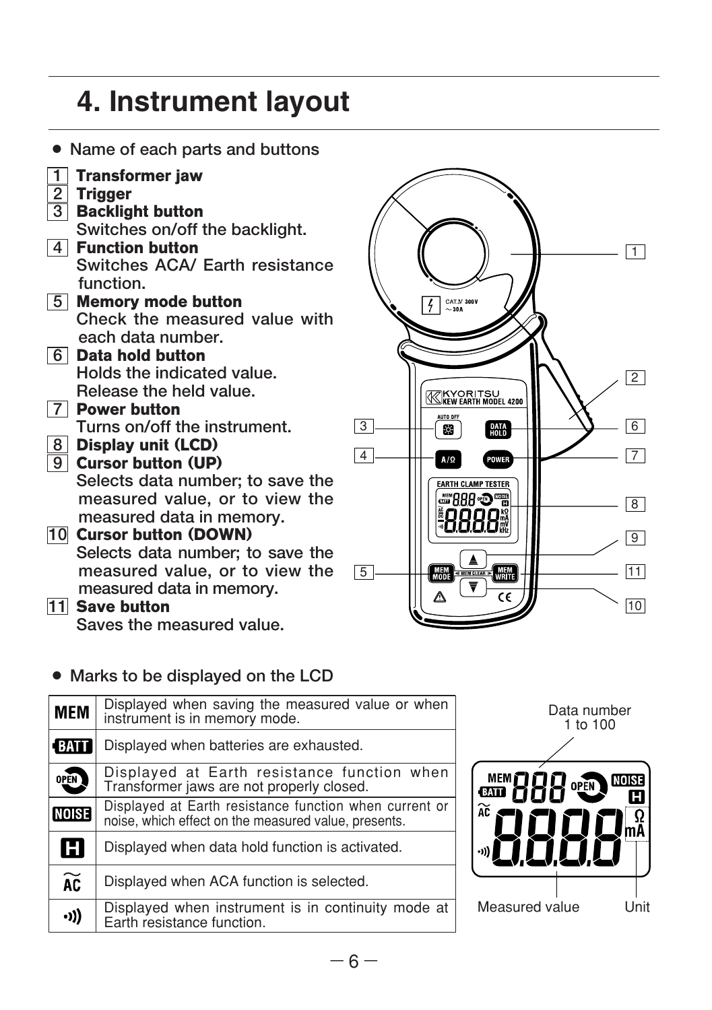## 4. Instrument layout

¡ **Name of each parts and buttons**



#### ¡ **Marks to be displayed on the LCD**

| <b>MEM</b>  | Displayed when saving the measured value or when<br>instrument is in memory mode.                              |
|-------------|----------------------------------------------------------------------------------------------------------------|
| <b>EATT</b> | Displayed when batteries are exhausted.                                                                        |
| 0PEN        | Displayed at Earth resistance function when<br>Transformer jaws are not properly closed.                       |
| <b>NOSE</b> | Displayed at Earth resistance function when current or<br>noise, which effect on the measured value, presents. |
| H           | Displayed when data hold function is activated.                                                                |
| ÃČ          | Displayed when ACA function is selected.                                                                       |
| •ו(ו        | Displayed when instrument is in continuity mode at<br>Earth resistance function.                               |



 $\Box$ 

 $\overline{4}$  CAT.M 300V

 $\mathsf{A}/\Omega$ 

**KYORITSU**<br>Wikew Earth Model 4200

EARTH CLAMP TESTER 8888%

POWER

2

7

 $\boxed{8}$  $\boxed{9}$ 

11

10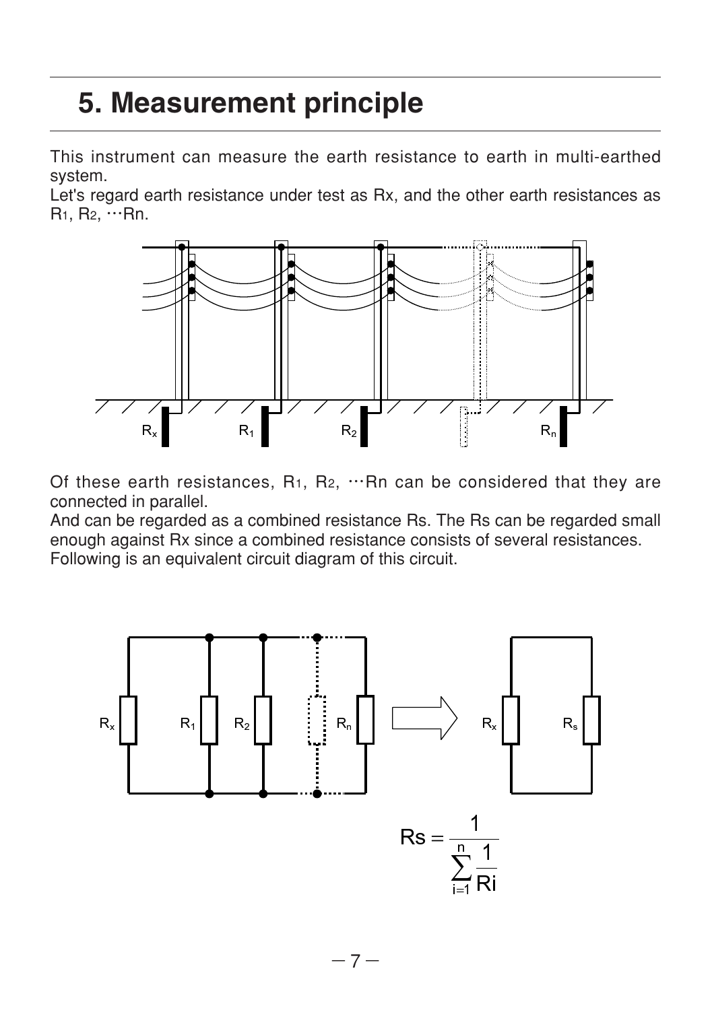### 5. Measurement principle

This instrument can measure the earth resistance to earth in multi-earthed system.

Let's regard earth resistance under test as Rx, and the other earth resistances as R1, R2, …Rn.



Of these earth resistances,  $R_1$ ,  $R_2$ ,  $\cdots$ Rn can be considered that they are connected in parallel.

And can be regarded as a combined resistance Rs. The Rs can be regarded small enough against Rx since a combined resistance consists of several resistances. Following is an equivalent circuit diagram of this circuit.

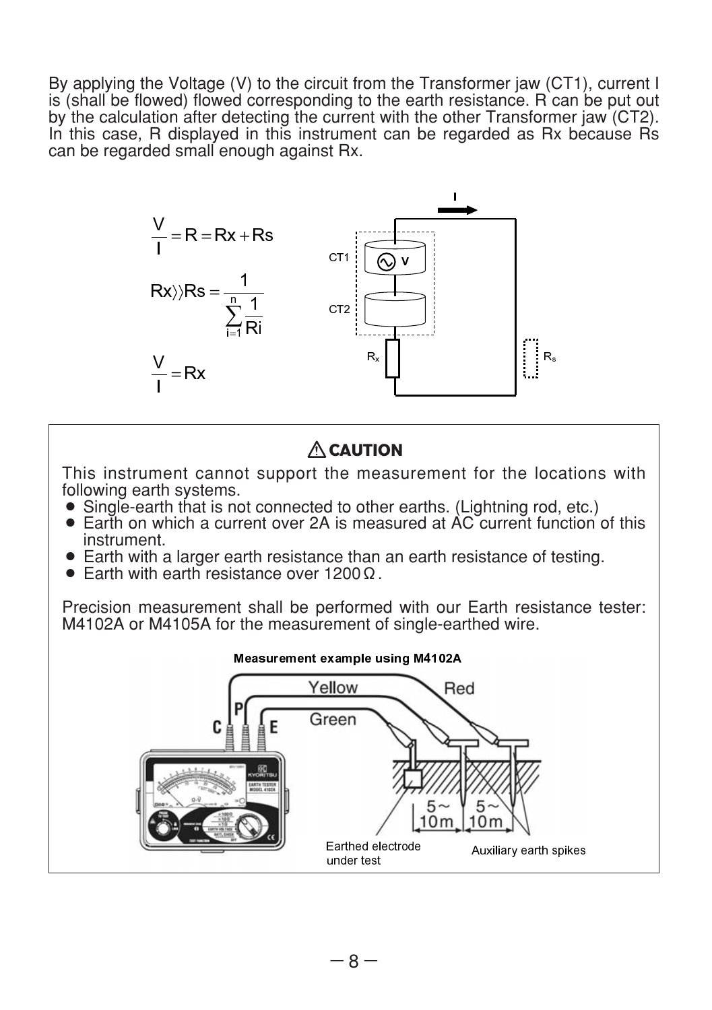By applying the Voltage (V) to the circuit from the Transformer jaw (CT1), current I is (shall be flowed) flowed corresponding to the earth resistance. R can be put out by the calculation after detecting the current with the other Transformer jaw (CT2). In this case. R displayed in this instrument can be regarded as Rx because Rs can be regarded small enough against Rx.



### **CAUTION**

This instrument cannot support the measurement for the locations with following earth systems.

- Single-earth that is not connected to other earths. (Lightning rod, etc.)
- Earth on which a current over 2A is measured at AC current function of this instrument.
- Earth with a larger earth resistance than an earth resistance of testing.
- Earth with earth resistance over  $1200\Omega$ .

Precision measurement shall be performed with our Earth resistance tester: M4102A or M4105A for the measurement of single-earthed wire.

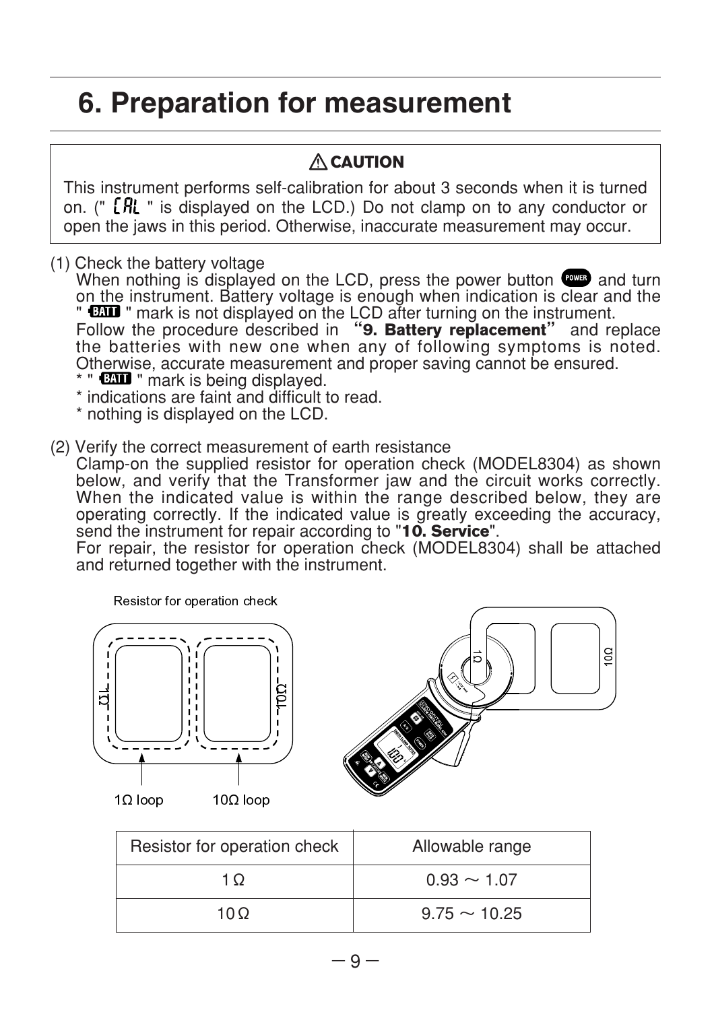### 6. Preparation for measurement

### **CAUTION**

This instrument performs self-calibration for about 3 seconds when it is turned on. (" **LHL** " is displayed on the LCD.) Do not clamp on to any conductor or open the jaws in this period. Otherwise, inaccurate measurement may occur.

(1) Check the battery voltage

When nothing is displayed on the LCD, press the power button  $\mathbb{C}^{\text{max}}$  and turn on the instrument. Battery voltage is enough when indication is clear and the **" CAD** " mark is not displayed on the LCD after turning on the instrument. Follow the procedure described in "**9. Battery replacement**" and replace the batteries with new one when any of following symptoms is noted. Otherwise, accurate measurement and proper saving cannot be ensured.

- \* "  $^*$  "  $^*$  " mark is being displayed.
- \* indications are faint and difficult to read.
- \* nothing is displayed on the LCD.
- (2) Verify the correct measurement of earth resistance

Clamp-on the supplied resistor for operation check (MODEL8304) as shown below, and verify that the Transformer jaw and the circuit works correctly. When the indicated value is within the range described below, they are operating correctly. If the indicated value is greatly exceeding the accuracy, send the instrument for repair according to "**10. Service**".

For repair, the resistor for operation check (MODEL8304) shall be attached and returned together with the instrument.

Resistor for operation check



| Resistor for operation check | Allowable range   |
|------------------------------|-------------------|
| 1 O                          | $0.93 \sim 1.07$  |
| 10 O                         | $9.75 \sim 10.25$ |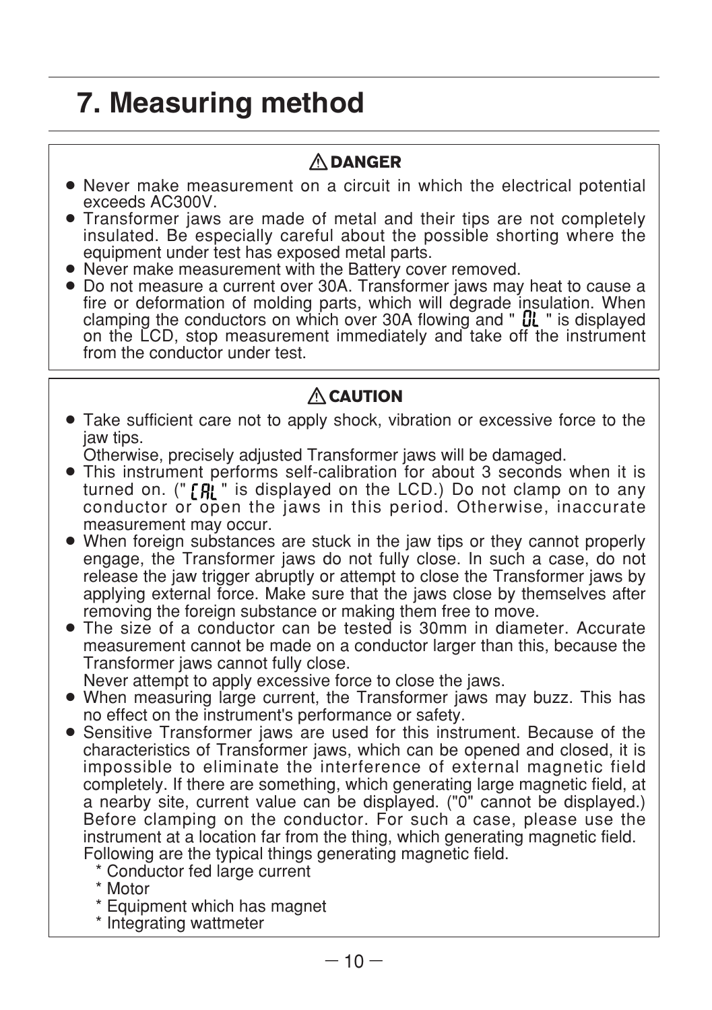### 7. Measuring method

### **DANGER**

- Never make measurement on a circuit in which the electrical potential exceeds AC300V.
- Transformer jaws are made of metal and their tips are not completely insulated. Be especially careful about the possible shorting where the equipment under test has exposed metal parts.
- Never make measurement with the Battery cover removed.
- ¡ Do not measure a current over 30A. Transformer jaws may heat to cause a fire or deformation of molding parts, which will degrade insulation. When clamping the conductors on which over 30A flowing and " **UL** " is displayed on the LCD, stop measurement immediately and take off the instrument from the conductor under test.

### **CAUTION**

• Take sufficient care not to apply shock, vibration or excessive force to the jaw tips.

Otherwise, precisely adjusted Transformer jaws will be damaged.

- This instrument performs self-calibration for about 3 seconds when it is turned on. (" $\int \mathbf{R}$ " is displayed on the LCD.) Do not clamp on to any conductor or open the jaws in this period. Otherwise, inaccurate measurement may occur.
- When foreign substances are stuck in the jaw tips or they cannot properly engage, the Transformer jaws do not fully close. In such a case, do not release the jaw trigger abruptly or attempt to close the Transformer jaws by applying external force. Make sure that the jaws close by themselves after removing the foreign substance or making them free to move.
- The size of a conductor can be tested is 30mm in diameter. Accurate measurement cannot be made on a conductor larger than this, because the Transformer jaws cannot fully close.

Never attempt to apply excessive force to close the jaws.

- When measuring large current, the Transformer jaws may buzz. This has no effect on the instrument's performance or safety.
- Sensitive Transformer jaws are used for this instrument. Because of the characteristics of Transformer jaws, which can be opened and closed, it is impossible to eliminate the interference of external magnetic field completely. If there are something, which generating large magnetic field, at a nearby site, current value can be displayed. ("0" cannot be displayed.) Before clamping on the conductor. For such a case, please use the instrument at a location far from the thing, which generating magnetic field. Following are the typical things generating magnetic field.
	- \* Conductor fed large current
	- \* Motor
	- \* Equipment which has magnet
	- \* Integrating wattmeter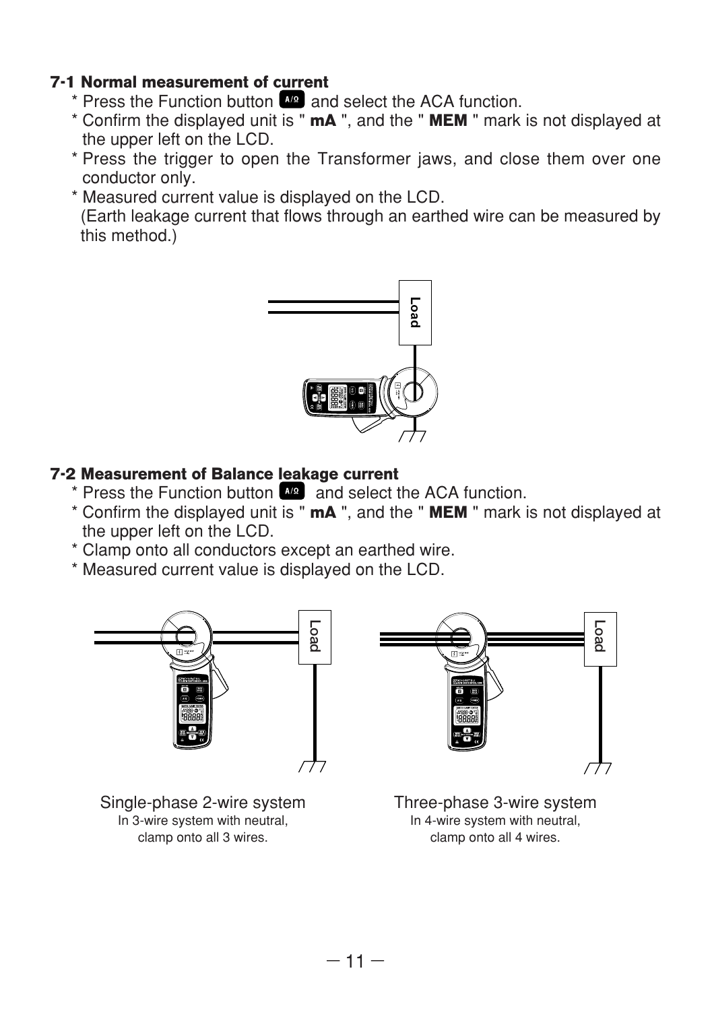#### **7-1 Normal measurement of current**

- \* Press the Function button  $\sqrt{M}$  and select the ACA function.
- \* Confirm the displayed unit is " **mA** ", and the " **MEM** " mark is not displayed at the upper left on the LCD.
- \* Press the trigger to open the Transformer jaws, and close them over one conductor only.
- \* Measured current value is displayed on the LCD. (Earth leakage current that flows through an earthed wire can be measured by

this method.)



#### **7-2 Measurement of Balance leakage current**

- $*$  Press the Function button  $\overline{M_2}$  and select the ACA function.
- \* Confirm the displayed unit is " **mA** ", and the " **MEM** " mark is not displayed at the upper left on the LCD.
- \* Clamp onto all conductors except an earthed wire.
- \* Measured current value is displayed on the LCD.



Single-phase 2-wire system In 3-wire system with neutral, clamp onto all 3 wires.



Three-phase 3-wire system In 4-wire system with neutral, clamp onto all 4 wires.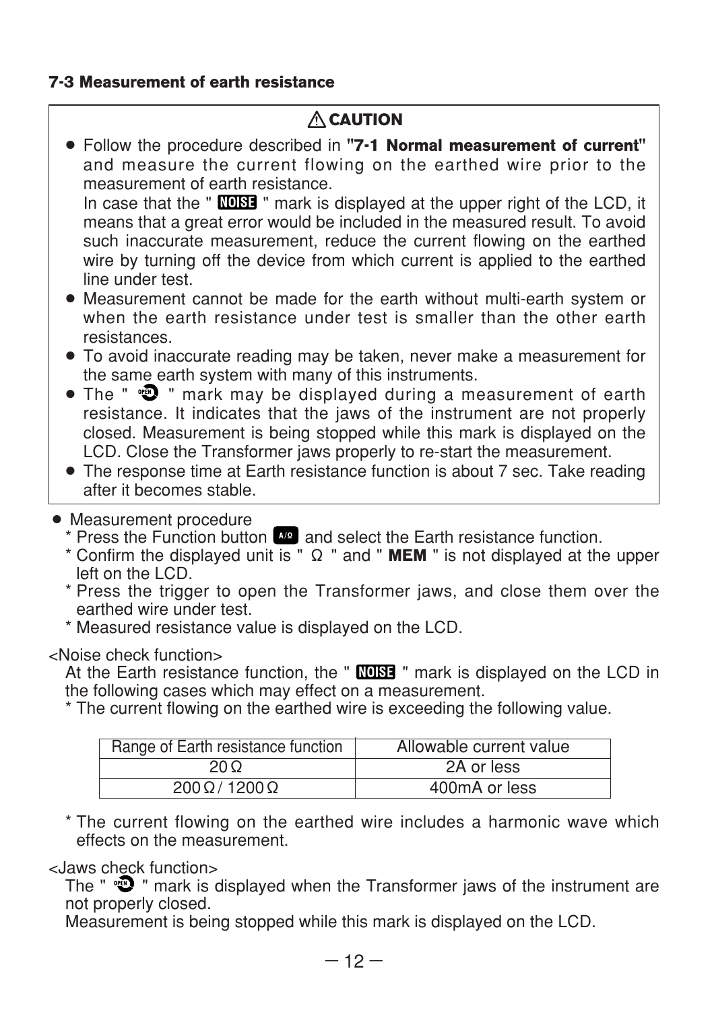#### **7-3 Measurement of earth resistance**

#### **CAUTION**

¡ Follow the procedure described in **"7-1 Normal measurement of current"** and measure the current flowing on the earthed wire prior to the measurement of earth resistance. In case that the " **NUSE** " mark is displayed at the upper right of the LCD, it means that a great error would be included in the measured result. To avoid

such inaccurate measurement, reduce the current flowing on the earthed wire by turning off the device from which current is applied to the earthed line under test.

- Measurement cannot be made for the earth without multi-earth system or when the earth resistance under test is smaller than the other earth resistances.
- To avoid inaccurate reading may be taken, never make a measurement for the same earth system with many of this instruments.
- The "  $\bullet$  " mark may be displayed during a measurement of earth resistance. It indicates that the jaws of the instrument are not properly closed. Measurement is being stopped while this mark is displayed on the LCD. Close the Transformer jaws properly to re-start the measurement.
- The response time at Earth resistance function is about 7 sec. Take reading after it becomes stable.
- Measurement procedure
	- \* Press the Function button  $\mathbb{R}$  and select the Earth resistance function.
	- \* Confirm the displayed unit is " Ω " and " **MEM** " is not displayed at the upper left on the LCD.
	- \* Press the trigger to open the Transformer jaws, and close them over the earthed wire under test.
	- \* Measured resistance value is displayed on the LCD.

#### <Noise check function>

At the Earth resistance function, the " WOSE " mark is displayed on the LCD in the following cases which may effect on a measurement.

\* The current flowing on the earthed wire is exceeding the following value.

| Range of Earth resistance function | Allowable current value |
|------------------------------------|-------------------------|
| 20 <sub>O</sub>                    | 2A or less              |
| $200 \Omega / 1200 \Omega$         | 400mA or less           |

\* The current flowing on the earthed wire includes a harmonic wave which effects on the measurement.

#### <Jaws check function>

The  $"$   $\bullet$  " mark is displayed when the Transformer jaws of the instrument are not properly closed.

Measurement is being stopped while this mark is displayed on the LCD.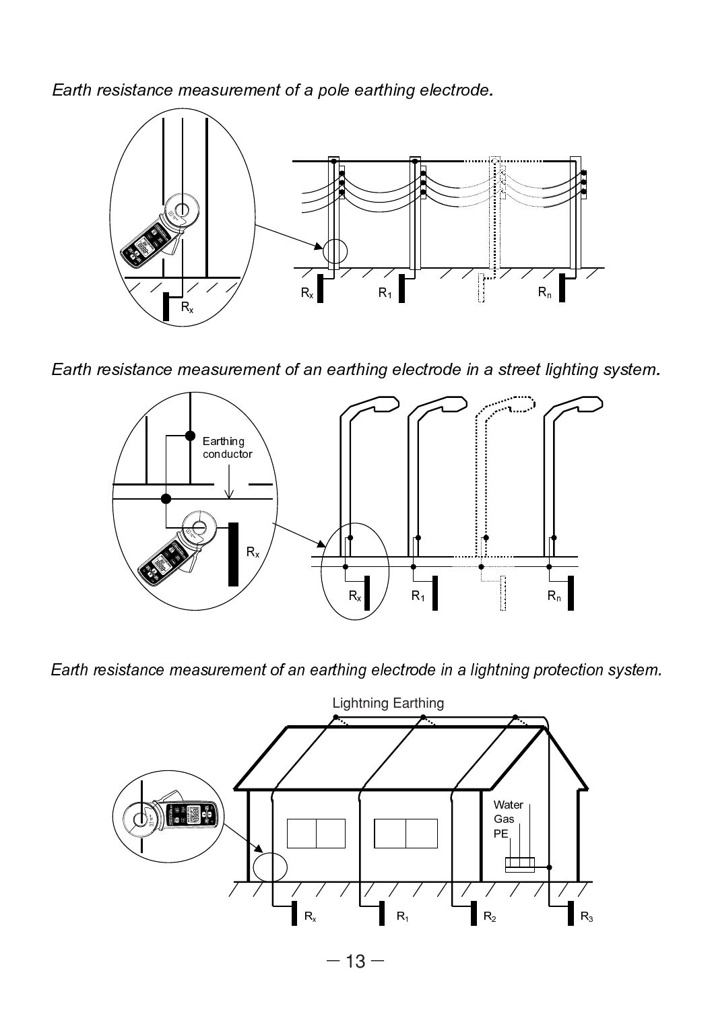Earth resistance measurement of a pole earthing electrode.



Earth resistance measurement of an earthing electrode in a street lighting system.



Earth resistance measurement of an earthing electrode in a lightning protection system.

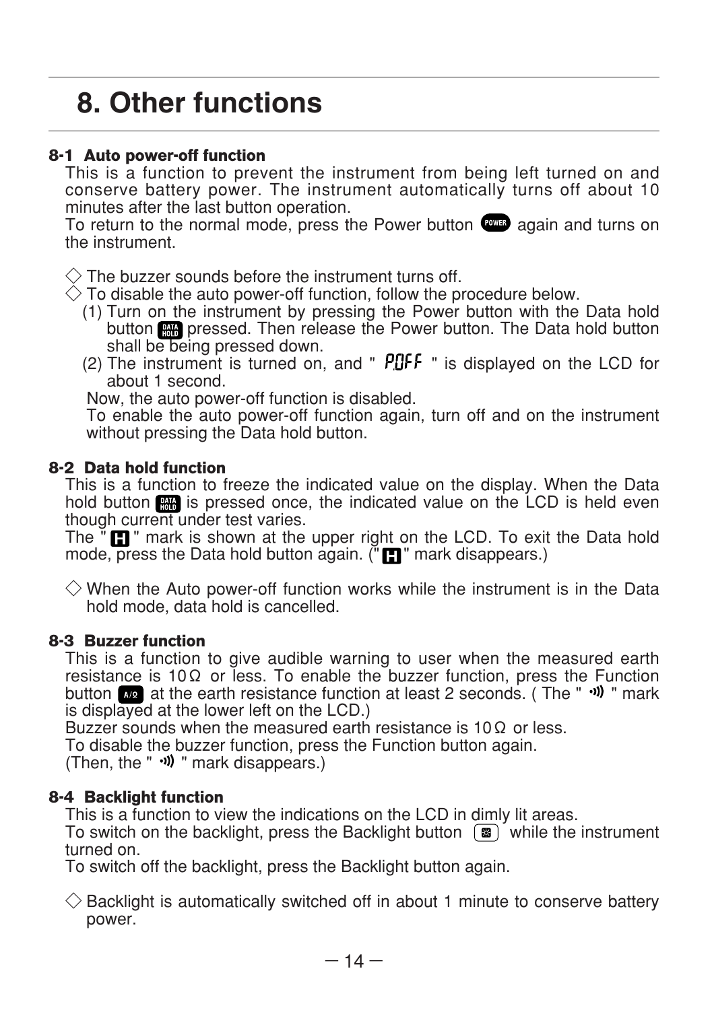### 8. Other functions

#### **8-1 Auto power-off function**

This is a function to prevent the instrument from being left turned on and conserve battery power. The instrument automatically turns off about 10 minutes after the last button operation.

To return to the normal mode, press the Power button  $\mathbb{Q}$  again and turns on the instrument.

 $\Diamond$  The buzzer sounds before the instrument turns off.

 $\Diamond$  To disable the auto power-off function, follow the procedure below.

- (1) Turn on the instrument by pressing the Power button with the Data hold button **RR** pressed. Then release the Power button. The Data hold button shall be being pressed down.
- (2) The instrument is turned on, and "  $PIF$  " is displayed on the LCD for about 1 second.

Now, the auto power-off function is disabled.

To enable the auto power-off function again, turn off and on the instrument without pressing the Data hold button.

#### **8-2 Data hold function**

This is a function to freeze the indicated value on the display. When the Data hold button **in i**s pressed once, the indicated value on the LCD is held even though current under test varies.

The  $\check{I}$   $\Box$  " mark is shown at the upper right on the LCD. To exit the Data hold mode, press the Data hold button again.  $\ddot{r}$  **n**  $\ddot{r}$  mark disappears.)

 $\diamondsuit$  When the Auto power-off function works while the instrument is in the Data hold mode, data hold is cancelled.

#### **8-3 Buzzer function**

This is a function to give audible warning to user when the measured earth resistance is 10 $\Omega$  or less. To enable the buzzer function, press the Function button  $\omega$  at the earth resistance function at least 2 seconds. (The "  $\omega$ ) " mark is displayed at the lower left on the LCD.)

Buzzer sounds when the measured earth resistance is 10 $\Omega$  or less.

To disable the buzzer function, press the Function button again.

(Then, the "  $\cdot$  " mark disappears.)

#### **8-4 Backlight function**

This is a function to view the indications on the LCD in dimly lit areas.

To switch on the backlight, press the Backlight button  $\Box$  while the instrument turned on.

To switch off the backlight, press the Backlight button again.

 $\Diamond$  Backlight is automatically switched off in about 1 minute to conserve battery power.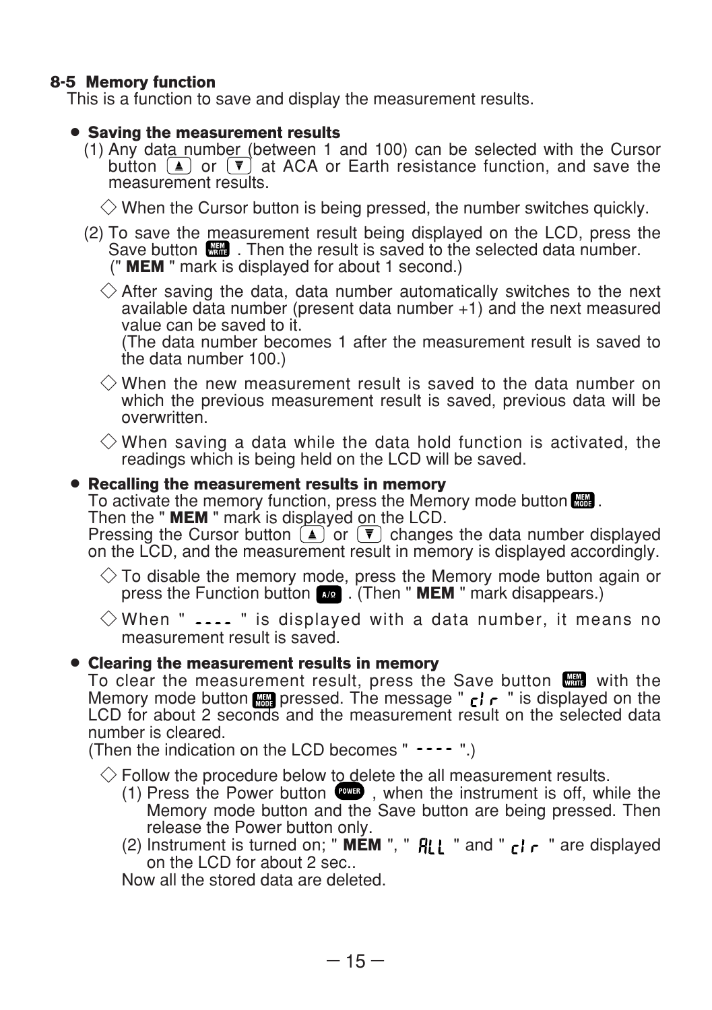#### **8-5 Memory function**

This is a function to save and display the measurement results.

#### ¡ **Saving the measurement results**

(1) Any data number (between 1 and 100) can be selected with the Cursor button  $\boxed{\blacktriangle}$  or  $\boxed{\blacktriangledown}$  at ACA or Earth resistance function, and save the measurement results.

 $\diamondsuit$  When the Cursor button is being pressed, the number switches quickly.

- (2) To save the measurement result being displayed on the LCD, press the Save button . Then the result is saved to the selected data number. (" **MEM** " mark is displayed for about 1 second.)
	- $\Diamond$  After saving the data, data number automatically switches to the next available data number (present data number +1) and the next measured value can be saved to it.

(The data number becomes 1 after the measurement result is saved to the data number 100.)

 $\Diamond$  When the new measurement result is saved to the data number on which the previous measurement result is saved, previous data will be overwritten.

 $\diamondsuit$  When saving a data while the data hold function is activated, the readings which is being held on the LCD will be saved.

#### ¡ **Recalling the measurement results in memory**

To activate the memory function, press the Memory mode button ...

Then the " **MEM** " mark is displayed on the LCD.

Pressing the Cursor button or changes the data number displayed on the LCD, and the measurement result in memory is displayed accordingly.

- $\Diamond$  To disable the memory mode, press the Memory mode button again or press the Function button **M** . (Then " **MEM** " mark disappears.)
- $\diamondsuit$  When " .... " is displayed with a data number, it means no measurement result is saved.

#### ¡ **Clearing the measurement results in memory**

To clear the measurement result, press the Save button **the** with the Memory mode button  $\mathbb{R}$  pressed. The message "  $\mathfrak{g}$  ' is displayed on the LCD for about 2 seconds and the measurement result on the selected data number is cleared.

(Then the indication on the LCD becomes " $---$ ".)

 $\diamondsuit$  Follow the procedure below to delete the all measurement results.

- (1) Press the Power button  $\bullet$ , when the instrument is off, while the Memory mode button and the Save button are being pressed. Then release the Power button only.
- (2) Instrument is turned on; " **MEM** ", "  $R_L$  " and "  $\epsilon$   $\epsilon$  " are displayed on the LCD for about 2 sec. on the LCD for about 2 sec..

Now all the stored data are deleted.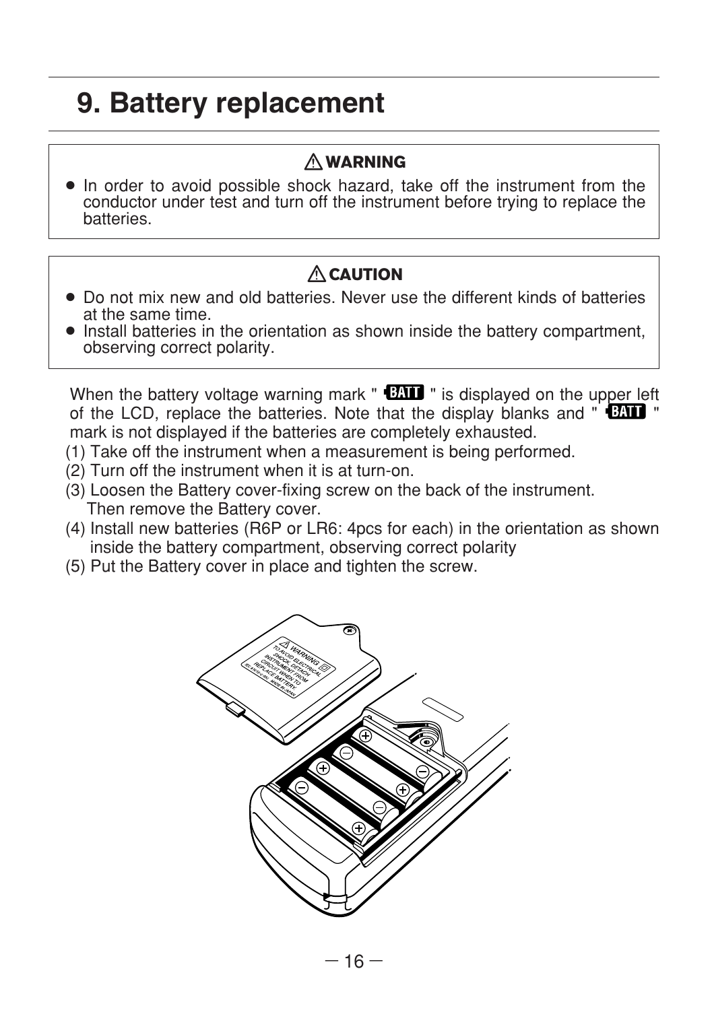### 9. Battery replacement

### **WARNING**

• In order to avoid possible shock hazard, take off the instrument from the conductor under test and turn off the instrument before trying to replace the batteries.

### **CAUTION**

- Do not mix new and old batteries. Never use the different kinds of batteries at the same time.
- Install batteries in the orientation as shown inside the battery compartment, observing correct polarity.

When the battery voltage warning mark " $\Box$  " is displayed on the upper left of the LCD, replace the batteries. Note that the display blanks and  $\overline{\textbf{CMB}}$  " mark is not displayed if the batteries are completely exhausted.

- (1) Take off the instrument when a measurement is being performed.
- (2) Turn off the instrument when it is at turn-on.
- (3) Loosen the Battery cover-fixing screw on the back of the instrument. Then remove the Battery cover.
- (4) Install new batteries (R6P or LR6: 4pcs for each) in the orientation as shown inside the battery compartment, observing correct polarity
- (5) Put the Battery cover in place and tighten the screw.